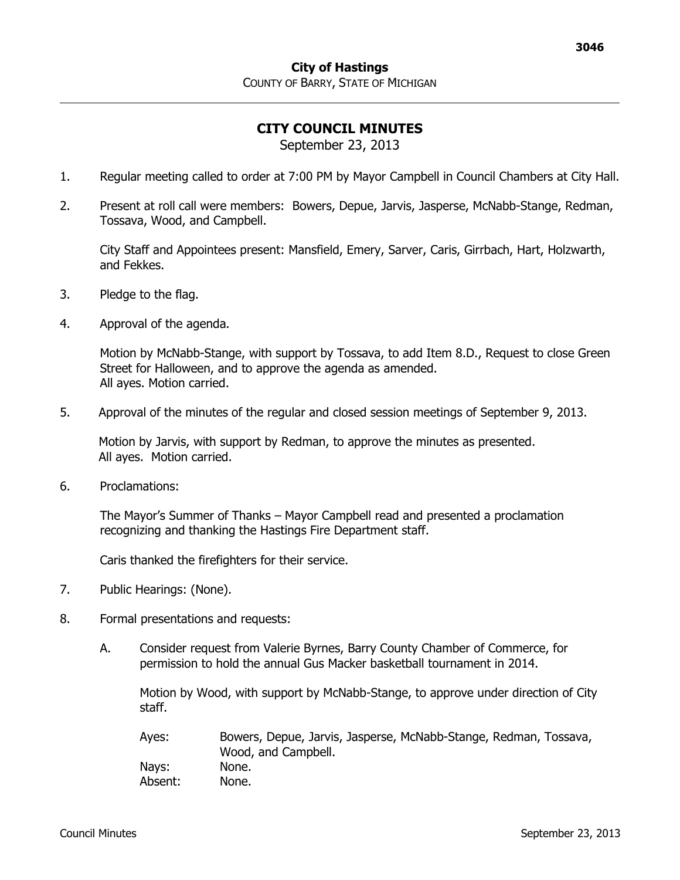## **CITY COUNCIL MINUTES**

September 23, 2013

- 1. Regular meeting called to order at 7:00 PM by Mayor Campbell in Council Chambers at City Hall.
- 2. Present at roll call were members: Bowers, Depue, Jarvis, Jasperse, McNabb-Stange, Redman, Tossava, Wood, and Campbell.

City Staff and Appointees present: Mansfield, Emery, Sarver, Caris, Girrbach, Hart, Holzwarth, and Fekkes.

- 3. Pledge to the flag.
- 4. Approval of the agenda.

Motion by McNabb-Stange, with support by Tossava, to add Item 8.D., Request to close Green Street for Halloween, and to approve the agenda as amended. All ayes. Motion carried.

5. Approval of the minutes of the regular and closed session meetings of September 9, 2013.

Motion by Jarvis, with support by Redman, to approve the minutes as presented. All ayes. Motion carried.

6. Proclamations:

The Mayor's Summer of Thanks – Mayor Campbell read and presented a proclamation recognizing and thanking the Hastings Fire Department staff.

Caris thanked the firefighters for their service.

- 7. Public Hearings: (None).
- 8. Formal presentations and requests:
	- A. Consider request from Valerie Byrnes, Barry County Chamber of Commerce, for permission to hold the annual Gus Macker basketball tournament in 2014.

Motion by Wood, with support by McNabb-Stange, to approve under direction of City staff.

| Ayes:   | Bowers, Depue, Jarvis, Jasperse, McNabb-Stange, Redman, Tossava,<br>Wood, and Campbell. |
|---------|-----------------------------------------------------------------------------------------|
| Nays:   | None.                                                                                   |
| Absent: | None.                                                                                   |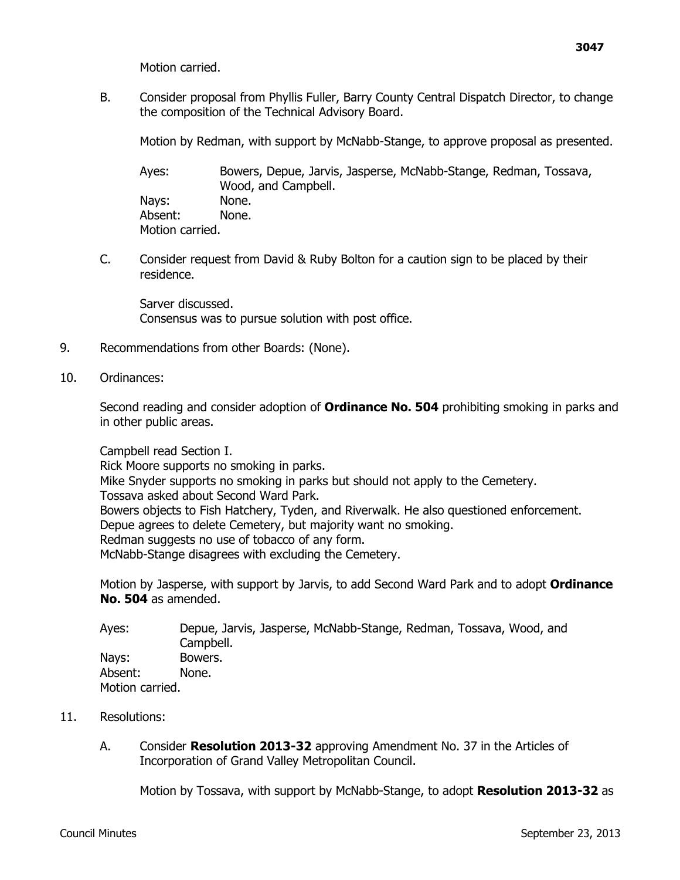Motion carried.

B. Consider proposal from Phyllis Fuller, Barry County Central Dispatch Director, to change the composition of the Technical Advisory Board.

Motion by Redman, with support by McNabb-Stange, to approve proposal as presented.

Ayes: Bowers, Depue, Jarvis, Jasperse, McNabb-Stange, Redman, Tossava, Wood, and Campbell. Nays: None. Absent: None. Motion carried.

C. Consider request from David & Ruby Bolton for a caution sign to be placed by their residence.

Sarver discussed. Consensus was to pursue solution with post office.

- 9. Recommendations from other Boards: (None).
- 10. Ordinances:

Second reading and consider adoption of **Ordinance No. 504** prohibiting smoking in parks and in other public areas.

Campbell read Section I.

Rick Moore supports no smoking in parks. Mike Snyder supports no smoking in parks but should not apply to the Cemetery. Tossava asked about Second Ward Park. Bowers objects to Fish Hatchery, Tyden, and Riverwalk. He also questioned enforcement. Depue agrees to delete Cemetery, but majority want no smoking. Redman suggests no use of tobacco of any form. McNabb-Stange disagrees with excluding the Cemetery.

Motion by Jasperse, with support by Jarvis, to add Second Ward Park and to adopt **Ordinance No. 504** as amended.

| Ayes:           | Depue, Jarvis, Jasperse, McNabb-Stange, Redman, Tossava, Wood, and |
|-----------------|--------------------------------------------------------------------|
|                 | Campbell.                                                          |
| Nays:           | Bowers.                                                            |
| Absent:         | None.                                                              |
| Motion carried. |                                                                    |

- 11. Resolutions:
	- A. Consider **Resolution 2013-32** approving Amendment No. 37 in the Articles of Incorporation of Grand Valley Metropolitan Council.

Motion by Tossava, with support by McNabb-Stange, to adopt **Resolution 2013-32** as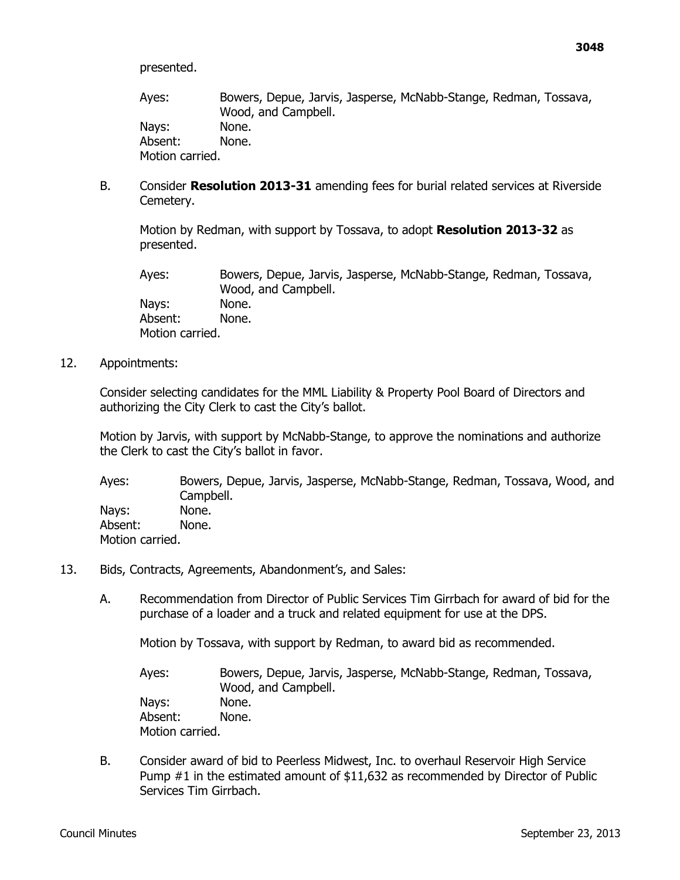presented.

Ayes: Bowers, Depue, Jarvis, Jasperse, McNabb-Stange, Redman, Tossava, Wood, and Campbell. Nays: None. Absent: None. Motion carried.

B. Consider **Resolution 2013-31** amending fees for burial related services at Riverside Cemetery.

Motion by Redman, with support by Tossava, to adopt **Resolution 2013-32** as presented.

Ayes: Bowers, Depue, Jarvis, Jasperse, McNabb-Stange, Redman, Tossava, Wood, and Campbell. Nays: None. Absent: None. Motion carried.

12. Appointments:

Consider selecting candidates for the MML Liability & Property Pool Board of Directors and authorizing the City Clerk to cast the City's ballot.

Motion by Jarvis, with support by McNabb-Stange, to approve the nominations and authorize the Clerk to cast the City's ballot in favor.

Ayes: Bowers, Depue, Jarvis, Jasperse, McNabb-Stange, Redman, Tossava, Wood, and Campbell. Nays: None. Absent: None. Motion carried.

- 13. Bids, Contracts, Agreements, Abandonment's, and Sales:
	- A. Recommendation from Director of Public Services Tim Girrbach for award of bid for the purchase of a loader and a truck and related equipment for use at the DPS.

Motion by Tossava, with support by Redman, to award bid as recommended.

Ayes: Bowers, Depue, Jarvis, Jasperse, McNabb-Stange, Redman, Tossava, Wood, and Campbell. Nays: None. Absent: None. Motion carried.

B. Consider award of bid to Peerless Midwest, Inc. to overhaul Reservoir High Service Pump #1 in the estimated amount of \$11,632 as recommended by Director of Public Services Tim Girrbach.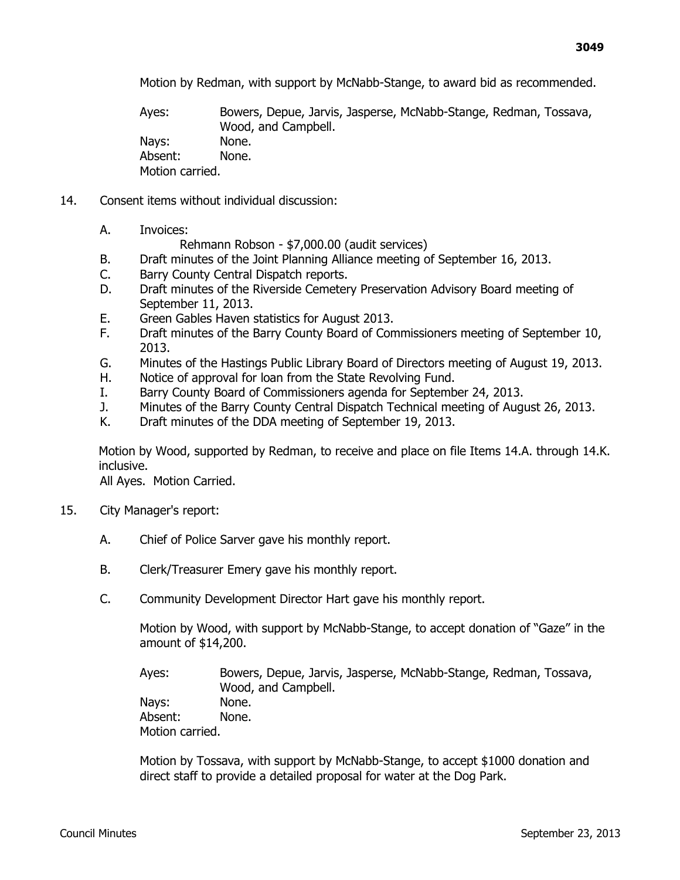Motion by Redman, with support by McNabb-Stange, to award bid as recommended.

Ayes: Bowers, Depue, Jarvis, Jasperse, McNabb-Stange, Redman, Tossava, Wood, and Campbell. Nays: None. Absent: None. Motion carried.

- 14. Consent items without individual discussion:
	- A. Invoices:

Rehmann Robson - \$7,000.00 (audit services)

- B. Draft minutes of the Joint Planning Alliance meeting of September 16, 2013.
- C. Barry County Central Dispatch reports.
- D. Draft minutes of the Riverside Cemetery Preservation Advisory Board meeting of September 11, 2013.
- E. Green Gables Haven statistics for August 2013.
- F. Draft minutes of the Barry County Board of Commissioners meeting of September 10, 2013.
- G. Minutes of the Hastings Public Library Board of Directors meeting of August 19, 2013.
- H. Notice of approval for loan from the State Revolving Fund.
- I. Barry County Board of Commissioners agenda for September 24, 2013.
- J. Minutes of the Barry County Central Dispatch Technical meeting of August 26, 2013.
- K. Draft minutes of the DDA meeting of September 19, 2013.

Motion by Wood, supported by Redman, to receive and place on file Items 14.A. through 14.K. inclusive.

All Ayes. Motion Carried.

- 15. City Manager's report:
	- A. Chief of Police Sarver gave his monthly report.
	- B. Clerk/Treasurer Emery gave his monthly report.
	- C. Community Development Director Hart gave his monthly report.

Motion by Wood, with support by McNabb-Stange, to accept donation of "Gaze" in the amount of \$14,200.

Ayes: Bowers, Depue, Jarvis, Jasperse, McNabb-Stange, Redman, Tossava, Wood, and Campbell. Nays: None. Absent: None. Motion carried.

Motion by Tossava, with support by McNabb-Stange, to accept \$1000 donation and direct staff to provide a detailed proposal for water at the Dog Park.